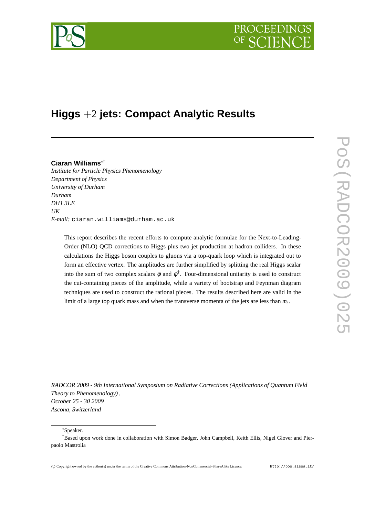

# **Higgs** +2 **jets: Compact Analytic Results**

# **Ciaran Williams**∗†

*Institute for Particle Physics Phenomenology Department of Physics University of Durham Durham DH1 3LE UK E-mail:* ciaran.williams@durham.ac.uk

> This report describes the recent efforts to compute analytic formulae for the Next-to-Leading-Order (NLO) QCD corrections to Higgs plus two jet production at hadron colliders. In these calculations the Higgs boson couples to gluons via a top-quark loop which is integrated out to form an effective vertex. The amplitudes are further simplified by splitting the real Higgs scalar into the sum of two complex scalars  $\phi$  and  $\phi^{\dagger}$ . Four-dimensional unitarity is used to construct the cut-containing pieces of the amplitude, while a variety of bootstrap and Feynman diagram techniques are used to construct the rational pieces. The results described here are valid in the limit of a large top quark mass and when the transverse momenta of the jets are less than *m<sup>t</sup>* .

*RADCOR 2009 - 9th International Symposium on Radiative Corrections (Applications of Quantum Field Theory to Phenomenology) , October 25 - 30 2009 Ascona, Switzerland*

# <sup>∗</sup>Speaker.

<sup>†</sup>Based upon work done in collaboration with Simon Badger, John Campbell, Keith Ellis, Nigel Glover and Pierpaolo Mastrolia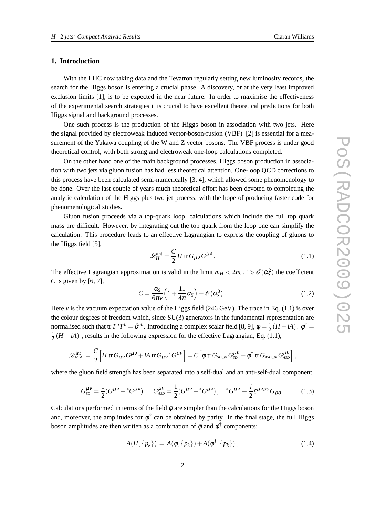# **1. Introduction**

With the LHC now taking data and the Tevatron regularly setting new luminosity records, the search for the Higgs boson is entering a crucial phase. A discovery, or at the very least improved exclusion limits [1], is to be expected in the near future. In order to maximise the effectiveness of the experimental search strategies it is crucial to have excellent theoretical predictions for both Higgs signal and background processes.

One such process is the production of the Higgs boson in association with two jets. Here the signal provided by electroweak induced vector-boson-fusion (VBF) [2] is essential for a measurement of the Yukawa coupling of the W and Z vector bosons. The VBF process is under good theoretical control, with both strong and electroweak one-loop calculations completed.

On the other hand one of the main background processes, Higgs boson production in association with two jets via gluon fusion has had less theoretical attention. One-loop QCD corrections to this process have been calculated semi-numerically [3, 4], which allowed some phenomenology to be done. Over the last couple of years much theoretical effort has been devoted to completing the analytic calculation of the Higgs plus two jet process, with the hope of producing faster code for phenomenological studies.

Gluon fusion proceeds via a top-quark loop, calculations which include the full top quark mass are difficult. However, by integrating out the top quark from the loop one can simplify the calculation. This procedure leads to an effective Lagrangian to express the coupling of gluons to the Higgs field [5],

$$
\mathcal{L}_H^{\text{int}} = \frac{C}{2} H \, \text{tr} \, G_{\mu\nu} G^{\mu\nu}.
$$

The effective Lagrangian approximation is valid in the limit  $m_H < 2m_t$ . To  $\mathcal{O}(\alpha_S^2)$  the coefficient *C* is given by [6, 7],

$$
C = \frac{\alpha_S}{6\pi\nu} \left( 1 + \frac{11}{4\pi} \alpha_S \right) + \mathcal{O}(\alpha_S^3) \,. \tag{1.2}
$$

Here *v* is the vacuum expectation value of the Higgs field (246 GeV). The trace in Eq. (1.1) is over the colour degrees of freedom which, since SU(3) generators in the fundamental representation are normalised such that tr $T^aT^b = \delta^{ab}$ . Introducing a complex scalar field [8, 9],  $\phi = \frac{1}{2}$  $\frac{1}{2}(H+iA), \phi^{\dagger} =$ 1  $\frac{1}{2}(H - iA)$ , results in the following expression for the effective Lagrangian, Eq. (1.1),

$$
\mathscr{L}_{H,A}^{\text{int}} = \frac{C}{2} \Big[ H \, \text{tr} \, G_{\mu\nu} G^{\mu\nu} + i A \, \text{tr} \, G_{\mu\nu}{}^* G^{\mu\nu} \Big] = C \Big[ \phi \, \text{tr} \, G_{\text{SD}\,\mu\nu} G_{\text{SD}}^{\mu\nu} + \phi^\dagger \, \text{tr} \, G_{\text{ASD}\,\mu\nu} G_{\text{ASD}}^{\mu\nu} \Big] \;,
$$

where the gluon field strength has been separated into a self-dual and an anti-self-dual component,

$$
G_{SD}^{\mu\nu} = \frac{1}{2} (G^{\mu\nu} + {}^*G^{\mu\nu}), \quad G_{ASD}^{\mu\nu} = \frac{1}{2} (G^{\mu\nu} - {}^*G^{\mu\nu}), \quad {}^*G^{\mu\nu} \equiv \frac{i}{2} \varepsilon^{\mu\nu\rho\sigma} G_{\rho\sigma}.
$$
 (1.3)

Calculations performed in terms of the field  $\phi$  are simpler than the calculations for the Higgs boson and, moreover, the amplitudes for  $\phi^{\dagger}$  can be obtained by parity. In the final stage, the full Higgs boson amplitudes are then written as a combination of  $\phi$  and  $\phi^{\dagger}$  components:

$$
A(H, \{p_k\}) = A(\phi, \{p_k\}) + A(\phi^{\dagger}, \{p_k\}), \qquad (1.4)
$$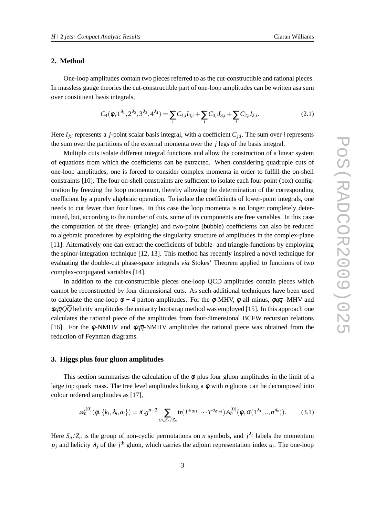### **2. Method**

One-loop amplitudes contain two pieces referred to as the cut-constructible and rational pieces. In massless gauge theories the cut-constructible part of one-loop amplitudes can be written asa sum over constituent basis integrals,

$$
C_4(\phi, 1^{\lambda_1}, 2^{\lambda_2}, 3^{\lambda_3}, 4^{\lambda_4}) = \sum_i C_{4;i} I_{4;i} + \sum_i C_{3;i} I_{3;i} + \sum_i C_{2;i} I_{2;i}.
$$
 (2.1)

Here  $I_{j;i}$  represents a *j*-point scalar basis integral, with a coefficient  $C_{j;i}$ . The sum over *i* represents the sum over the partitions of the external momenta over the *j* legs of the basis integral.

Multiple cuts isolate different integral functions and allow the construction of a linear system of equations from which the coefficients can be extracted. When considering quadruple cuts of one-loop amplitudes, one is forced to consider complex momenta in order to fulfill the on-shell constraints [10]. The four on-shell constraints are sufficient to isolate each four-point (box) configuration by freezing the loop momentum, thereby allowing the determination of the corresponding coefficient by a purely algebraic operation. To isolate the coefficients of lower-point integrals, one needs to cut fewer than four lines. In this case the loop momenta is no longer completely determined, but, according to the number of cuts, some of its components are free variables. In this case the computation of the three- (triangle) and two-point (bubble) coefficients can also be reduced to algebraic procedures by exploiting the singularity structure of amplitudes in the complex-plane [11]. Alternatively one can extract the coefficients of bubble- and triangle-functions by employing the spinor-integration technique [12, 13]. This method has recently inspired a novel technique for evaluating the double-cut phase-space integrals *via* Stokes' Theorem applied to functions of two complex-conjugated variables [14].

In addition to the cut-constructible pieces one-loop QCD amplitudes contain pieces which cannot be reconstructed by four dimensional cuts. As such additional techniques have been used to calculate the one-loop  $\phi + 4$  parton amplitudes. For the  $\phi$ -MHV,  $\phi$ -all minus,  $\phi \overline{q}$ -MHV and  $\phi q\overline{q}Q\overline{Q}$  helicity amplitudes the unitarity bootstrap method was employed [15]. In this approach one calculates the rational piece of the amplitudes from four-dimensional BCFW recursion relations [16]. For the  $\phi$ -NMHV and  $\phi q\bar{q}$ -NMHV amplitudes the rational piece was obtained from the reduction of Feynman diagrams.

# **3. Higgs plus four gluon amplitudes**

This section summarises the calculation of the  $\phi$  plus four gluon amplitudes in the limit of a large top quark mass. The tree level amplitudes linking a  $\phi$  with *n* gluons can be decomposed into colour ordered amplitudes as [17],

$$
\mathscr{A}_n^{(0)}(\phi,\{k_i,\lambda_i,a_i\}) = iC g^{n-2} \sum_{\sigma \in S_n/Z_n} tr(T^{a_{\sigma(1)}} \cdots T^{a_{\sigma(n)}}) A_n^{(0)}(\phi,\sigma(1^{\lambda_1},..,n^{\lambda_n})).
$$
 (3.1)

Here  $S_n/Z_n$  is the group of non-cyclic permutations on *n* symbols, and  $j^{\lambda_j}$  labels the momentum  $p_j$  and helicity  $\lambda_j$  of the *j*<sup>th</sup> gluon, which carries the adjoint representation index  $a_i$ . The one-loop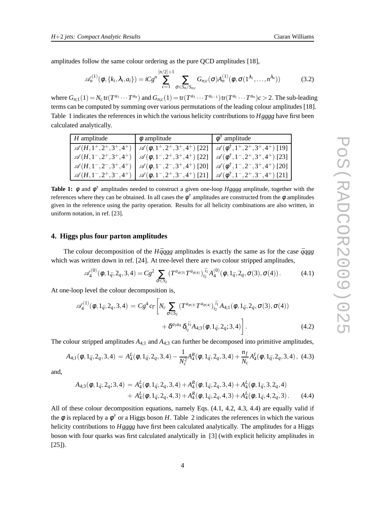amplitudes follow the same colour ordering as the pure QCD amplitudes [18],

$$
\mathscr{A}_n^{(1)}(\phi,\{k_i,\lambda_i,a_i\}) = iCg^n \sum_{c=1}^{[n/2]+1} \sum_{\sigma \in S_n/S_{n;c}} G_{n;c}(\sigma) A_n^{(1)}(\phi,\sigma(1^{\lambda_1},\ldots,n^{\lambda_n}))
$$
(3.2)

where  $G_{n,1}(1) = N_c \text{tr}(T^{a_1} \cdots T^{a_n})$  and  $G_{n,c}(1) = \text{tr}(T^{a_1} \cdots T^{a_{c-1}}) \text{tr}(T^{a_c} \cdots T^{a_n})$  c > 2. The sub-leading terms can be computed by summing over various permutations of the leading colour amplitudes [18]. Table 1 indicates the references in which the various helicity contributions to *Hgggg* have first been calculated analytically.

| $H$ amplitude | $\phi$ amplitude | $\phi^{\dagger}$ amplitude                                                                                                               |
|---------------|------------------|------------------------------------------------------------------------------------------------------------------------------------------|
|               |                  | $\mathscr{A}(H, 1^+, 2^+, 3^+, 4^+)$ $\mathscr{A}(\phi, 1^+, 2^+, 3^+, 4^+)$ [22] $\mathscr{A}(\phi^{\dagger}, 1^+, 2^+, 3^+, 4^+)$ [19] |
|               |                  | $\mathscr{A}(H, 1^-, 2^+, 3^+, 4^+)$ $\mathscr{A}(\phi, 1^-, 2^+, 3^+, 4^+)$ [22] $\mathscr{A}(\phi^{\dagger}, 1^-, 2^+, 3^+, 4^+)$ [23] |
|               |                  | $\mathscr{A}(H, 1^-, 2^-, 3^+, 4^+)$ $\mathscr{A}(\phi, 1^-, 2^-, 3^+, 4^+)$ [20] $\mathscr{A}(\phi^{\dagger}, 1^-, 2^-, 3^+, 4^+)$ [20] |
|               |                  | $\mathscr{A}(H, 1^-, 2^+, 3^-, 4^+)$ $\mathscr{A}(\phi, 1^-, 2^+, 3^-, 4^+)$ [21] $\mathscr{A}(\phi^{\dagger}, 1^-, 2^+, 3^-, 4^+)$ [21] |

**Table 1:** φ and φ † amplitudes needed to construct a given one-loop *Hgggg* amplitude, together with the references where they can be obtained. In all cases the  $\phi^{\dagger}$  amplitudes are constructed from the  $\phi$  amplitudes given in the reference using the parity operation. Results for all helicity combinations are also written, in uniform notation, in ref. [23].

### **4. Higgs plus four parton amplitudes**

The colour decomposition of the  $H\bar{q}qgg$  amplitudes is exactly the same as for the case  $\bar{q}qgg$ which was written down in ref. [24]. At tree-level there are two colour stripped amplitudes,

$$
\mathscr{A}_4^{(0)}(\phi, 1_{\bar{q}}, 2_q, 3, 4) = Cg^2 \sum_{\sigma \in S_2} \left( T^{a_{\sigma(3)}} T^{a_{\sigma(4)}} \right)_{i_2}^{i_1} A_4^{(0)}(\phi, 1_{\bar{q}}, 2_q, \sigma(3), \sigma(4)). \tag{4.1}
$$

At one-loop level the colour decomposition is,

$$
\mathscr{A}_{4}^{(1)}(\phi, 1_{\bar{q}}, 2_q, 3, 4) = Cg^4 c_{\Gamma} \bigg[ N_c \sum_{\sigma \in S_2} \left( T^{a_{\sigma(3)}} T^{a_{\sigma(4)}} \right)_{i_2}^{\bar{t}_1} A_{4;1}(\phi, 1_{\bar{q}}, 2_q, \sigma(3), \sigma(4)) + \delta^{a_{3}a_{4}} \delta_{i_2}^{\bar{t}_1} A_{4;3}(\phi, 1_{\bar{q}}, 2_q; 3, 4) \bigg].
$$
 (4.2)

The colour stripped amplitudes  $A_{4,1}$  and  $A_{4,3}$  can further be decomposed into primitive amplitudes,

$$
A_{4;1}(\phi, 1_{\bar{q}}, 2_q, 3, 4) = A_4^L(\phi, 1_{\bar{q}}, 2_q, 3, 4) - \frac{1}{N_c^2} A_4^R(\phi, 1_{\bar{q}}, 2_q, 3, 4) + \frac{n_f}{N_c} A_4^f(\phi, 1_{\bar{q}}, 2_q, 3, 4), \tag{4.3}
$$

and,

$$
A_{4;3}(\phi, 1_{\bar{q}}, 2_q; 3, 4) = A_4^L(\phi, 1_{\bar{q}}, 2_q, 3, 4) + A_4^R(\phi, 1_{\bar{q}}, 2_q, 3, 4) + A_4^L(\phi, 1_{\bar{q}}, 3, 2_q, 4) + A_4^L(\phi, 1_{\bar{q}}, 2_q, 4, 3) + A_4^R(\phi, 1_{\bar{q}}, 2_q, 4, 3) + A_4^L(\phi, 1_{\bar{q}}, 4, 2_q, 3).
$$
 (4.4)

All of these colour decomposition equations, namely Eqs. (4.1, 4.2, 4.3, 4.4) are equally valid if the  $\phi$  is replaced by a  $\phi^{\dagger}$  or a Higgs boson *H*. Table 2 indicates the references in which the various helicity contributions to *Hgggg* have first been calculated analytically. The amplitudes for a Higgs boson with four quarks was first calculated analytically in [3] (with explicit helicity amplitudes in  $[25]$ ).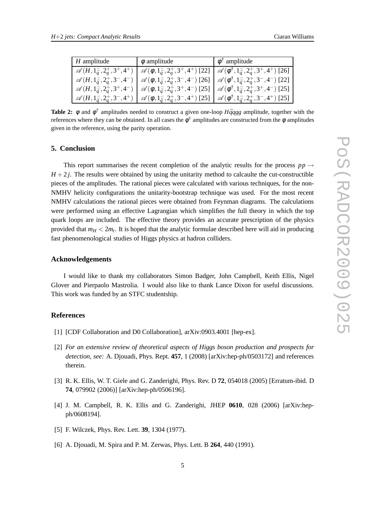| $H$ amplitude | $\phi$ amplitude | $\phi^{\dagger}$ amplitude                                                                                                                                                                                                     |
|---------------|------------------|--------------------------------------------------------------------------------------------------------------------------------------------------------------------------------------------------------------------------------|
|               |                  | $\mathscr{A}(H, 1_{\bar{q}}^-, 2_q^+, 3^+, 4^+)$ $\mathscr{A}(\phi, 1_{\bar{q}}^-, 2_q^+, 3^+, 4^+)$ [22] $\mathscr{A}(\phi^{\dagger}, 1_{\bar{q}}^-, 2_q^+, 3^+, 4^+)$ [26]                                                   |
|               |                  | $\mathscr{A}(H,1_{\bar{q}}^-,2_q^+,3^-,4^-) \left[ \mathscr{A}(\phi,1_{\bar{q}}^-,2_q^+,3^-,4^-) \left[26\right] \right] \mathscr{A}(\phi^{\dagger},1_{\bar{q}}^-,2_q^+,3^-,4^-) \left[22\right]$                              |
|               |                  | $\mathscr{A}(H,1_{\bar{q}}^-,2_q^+,3^+,4^-) \left[ \mathscr{A}(\phi,1_{\bar{q}}^-,2_q^+,3^+,4^-) \left[25\right] \right] \mathscr{A}(\phi^{\dagger},1_{\bar{q}}^-,2_q^+,3^+,4^-) \left[25\right]$                              |
|               |                  | $\left[\begin{array}{c} \mathscr{A}(H,1_{\bar{q}}^-,2_q^+,3^-,4^+) \end{array} \right] \mathscr{A}(\phi,1_{\bar{q}}^-,2_q^+,3^-,4^+)$ [25] $\left[\begin{array}{c} \mathscr{A}(\phi^\dagger,1_{\bar{q}}^-,2_q^+,3^-,4^+)$ [25] |

**Table 2:**  $\phi$  and  $\phi^{\dagger}$  amplitudes needed to construct a given one-loop *Hqqgg* amplitude, together with the references where they can be obtained. In all cases the  $\phi^{\dagger}$  amplitudes are constructed from the  $\phi$  amplitudes given in the reference, using the parity operation.

# **5. Conclusion**

This report summarises the recent completion of the analytic results for the process  $pp \rightarrow$  $H + 2j$ . The results were obtained by using the unitarity method to calcaulte the cut-constructible pieces of the amplitudes. The rational pieces were calculated with various techniques, for the non-NMHV helicity configurations the unitarity-bootstrap technique was used. For the most recent NMHV calculations the rational pieces were obtained from Feynman diagrams. The calculations were performed using an effective Lagrangian which simplifies the full theory in which the top quark loops are included. The effective theory provides an accurate prescription of the physics provided that *m<sup>H</sup>* < 2*m<sup>t</sup>* . It is hoped that the analytic formulae described here will aid in producing fast phenomenological studies of Higgs physics at hadron colliders.

### **Acknowledgements**

I would like to thank my collaborators Simon Badger, John Campbell, Keith Ellis, Nigel Glover and Pierpaolo Mastrolia. I would also like to thank Lance Dixon for useful discussions. This work was funded by an STFC studentship.

# **References**

- [1] [CDF Collaboration and D0 Collaboration], arXiv:0903.4001 [hep-ex].
- [2] *For an extensive review of theoretical aspects of Higgs boson production and prospects for detection, see:* A. Djouadi, Phys. Rept. **457**, 1 (2008) [arXiv:hep-ph/0503172] and references therein.
- [3] R. K. Ellis, W. T. Giele and G. Zanderighi, Phys. Rev. D **72**, 054018 (2005) [Erratum-ibid. D **74**, 079902 (2006)] [arXiv:hep-ph/0506196].
- [4] J. M. Campbell, R. K. Ellis and G. Zanderighi, JHEP **0610**, 028 (2006) [arXiv:hepph/0608194].
- [5] F. Wilczek, Phys. Rev. Lett. **39**, 1304 (1977).
- [6] A. Djouadi, M. Spira and P. M. Zerwas, Phys. Lett. B **264**, 440 (1991).